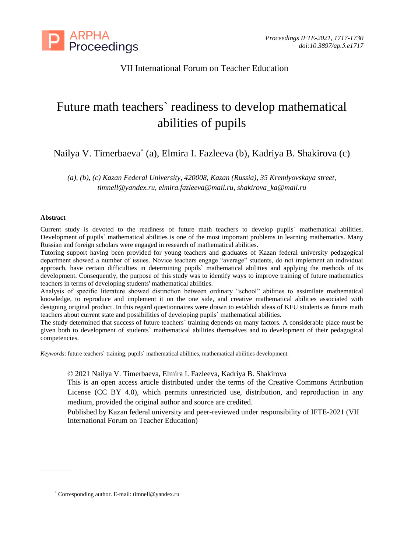

## VII International Forum on Teacher Education

# Future math teachers` readiness to develop mathematical abilities of pupils

Nailya V. Timerbaeva\* (a), Elmira I. Fazleeva (b), Kadriya B. Shakirova (c)

*(a), (b), (c) Kazan Federal University, 420008, Kazan (Russia), 35 Kremlyovskaya street, [timnell@yandex.ru,](mailto:timnell@yandex.ru) [elmira.fazleeva@mail.ru,](mailto:elmira.fazleeva@mail.ru) shakirova\_ka@mail.ru*

#### **Abstract**

Current study is devoted to the readiness of future math teachers to develop pupils` mathematical abilities. Development of pupils` mathematical abilities is one of the most important problems in learning mathematics. Many Russian and foreign scholars were engaged in research of mathematical abilities.

Tutoring support having been provided for young teachers and graduates of Kazan federal university pedagogical department showed a number of issues. Novice teachers engage "average" students, do not implement an individual approach, have certain difficulties in determining pupils` mathematical abilities and applying the methods of its development. Consequently, the purpose of this study was to identify ways to improve training of future mathematics teachers in terms of developing students' mathematical abilities.

Analysis of specific literature showed distinction between ordinary "school" abilities to assimilate mathematical knowledge, to reproduce and implement it on the one side, and creative mathematical abilities associated with designing original product. In this regard questionnaires were drawn to establish ideas of KFU students as future math teachers about current state and possibilities of developing pupils` mathematical abilities.

The study determined that success of future teachers` training depends on many factors. A considerable place must be given both to development of students` mathematical abilities themselves and to development of their pedagogical competencies.

*Keywords*: future teachers` training, pupils` mathematical abilities, mathematical abilities development.

© 2021 Nailya V. Timerbaeva, Elmira I. Fazleeva, Kadriya B. Shakirova

This is an open access article distributed under the terms of the Creative Commons Attribution License (CC BY 4.0), which permits unrestricted use, distribution, and reproduction in any medium, provided the original author and source are credited.

Published by Kazan federal university and peer-reviewed under responsibility of IFTE-2021 (VII International Forum on Teacher Education)

<sup>\*</sup> Corresponding author. E-mail[: timnell@yandex.ru](mailto:timnell@yandex.ru)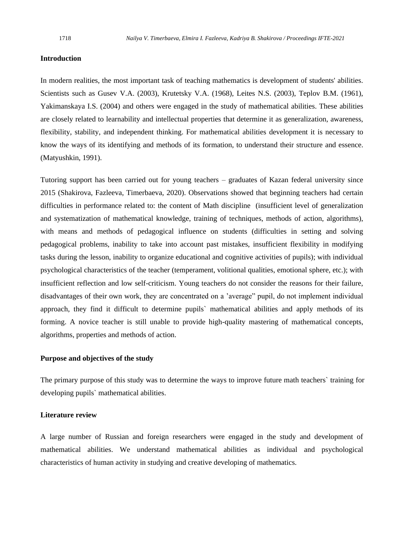#### **Introduction**

In modern realities, the most important task of teaching mathematics is development of students' abilities. Scientists such as Gusev V.A. (2003), Krutetsky V.A. (1968), Leites N.S. (2003), Teplov B.M. (1961), Yakimanskaya I.S. (2004) and others were engaged in the study of mathematical abilities. These abilities are closely related to learnability and intellectual properties that determine it as generalization, awareness, flexibility, stability, and independent thinking. For mathematical abilities development it is necessary to know the ways of its identifying and methods of its formation, to understand their structure and essence. (Matyushkin, 1991).

Tutoring support has been carried out for young teachers – graduates of Kazan federal university since 2015 (Shakirova, Fazleeva, Timerbaeva, 2020). Observations showed that beginning teachers had certain difficulties in performance related to: the content of Math discipline (insufficient level of generalization and systematization of mathematical knowledge, training of techniques, methods of action, algorithms), with means and methods of pedagogical influence on students (difficulties in setting and solving pedagogical problems, inability to take into account past mistakes, insufficient flexibility in modifying tasks during the lesson, inability to organize educational and cognitive activities of pupils); with individual psychological characteristics of the teacher (temperament, volitional qualities, emotional sphere, etc.); with insufficient reflection and low self-criticism. Young teachers do not consider the reasons for their failure, disadvantages of their own work, they are concentrated on a 'average" pupil, do not implement individual approach, they find it difficult to determine pupils` mathematical abilities and apply methods of its forming. A novice teacher is still unable to provide high-quality mastering of mathematical concepts, algorithms, properties and methods of action.

#### **Purpose and objectives of the study**

The primary purpose of this study was to determine the ways to improve future math teachers` training for developing pupils` mathematical abilities.

#### **Literature review**

A large number of Russian and foreign researchers were engaged in the study and development of mathematical abilities. We understand mathematical abilities as individual and psychological characteristics of human activity in studying and creative developing of mathematics.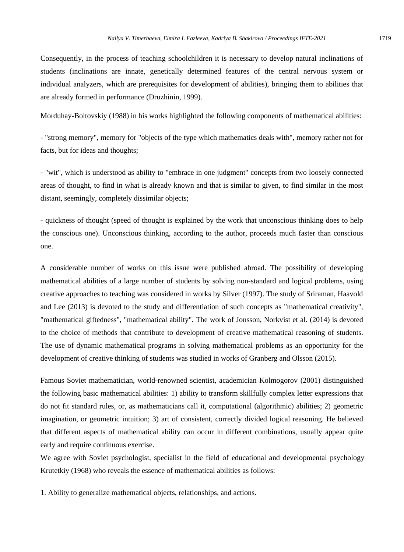Consequently, in the process of teaching schoolchildren it is necessary to develop natural inclinations of students (inclinations are innate, genetically determined features of the central nervous system or individual analyzers, which are prerequisites for development of abilities), bringing them to abilities that are already formed in performance (Druzhinin, 1999).

Morduhay-Boltovskiy (1988) in his works highlighted the following components of mathematical abilities:

- "strong memory", memory for "objects of the type which mathematics deals with", memory rather not for facts, but for ideas and thoughts;

- "wit", which is understood as ability to "embrace in one judgment" concepts from two loosely connected areas of thought, to find in what is already known and that is similar to given, to find similar in the most distant, seemingly, completely dissimilar objects;

- quickness of thought (speed of thought is explained by the work that unconscious thinking does to help the conscious one). Unconscious thinking, according to the author, proceeds much faster than conscious one.

A considerable number of works on this issue were published abroad. The possibility of developing mathematical abilities of a large number of students by solving non-standard and logical problems, using creative approaches to teaching was considered in works by Silver (1997). The study of Sriraman, Haavold and Lee (2013) is devoted to the study and differentiation of such concepts as "mathematical creativity", "mathematical giftedness", "mathematical ability". The work of Jonsson, Norkvist et al. (2014) is devoted to the choice of methods that contribute to development of creative mathematical reasoning of students. The use of dynamic mathematical programs in solving mathematical problems as an opportunity for the development of creative thinking of students was studied in works of Granberg and Olsson (2015).

Famous Soviet mathematician, world-renowned scientist, academician Kolmogorov (2001) distinguished the following basic mathematical abilities: 1) ability to transform skillfully complex letter expressions that do not fit standard rules, or, as mathematicians call it, computational (algorithmic) abilities; 2) geometric imagination, or geometric intuition; 3) art of consistent, correctly divided logical reasoning. He believed that different aspects of mathematical ability can occur in different combinations, usually appear quite early and require continuous exercise.

We agree with Soviet psychologist, specialist in the field of educational and developmental psychology Krutetkiy (1968) who reveals the essence of mathematical abilities as follows:

1. Ability to generalize mathematical objects, relationships, and actions.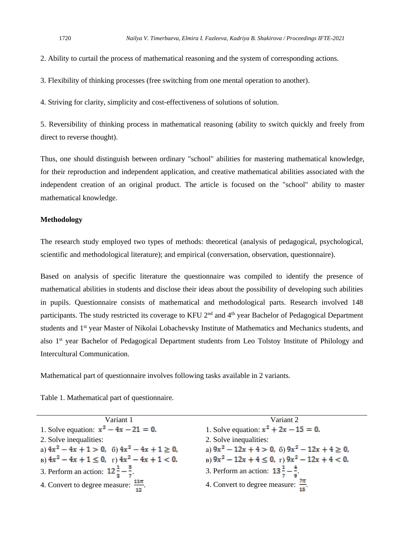2. Ability to curtail the process of mathematical reasoning and the system of corresponding actions.

3. Flexibility of thinking processes (free switching from one mental operation to another).

4. Striving for clarity, simplicity and cost-effectiveness of solutions of solution.

5. Reversibility of thinking process in mathematical reasoning (ability to switch quickly and freely from direct to reverse thought).

Thus, one should distinguish between ordinary "school" abilities for mastering mathematical knowledge, for their reproduction and independent application, and creative mathematical abilities associated with the independent creation of an original product. The article is focused on the "school" ability to master mathematical knowledge.

#### **Methodology**

The research study employed two types of methods: theoretical (analysis of pedagogical, psychological, scientific and methodological literature); and empirical (conversation, observation, questionnaire).

Based on analysis of specific literature the questionnaire was compiled to identify the presence of mathematical abilities in students and disclose their ideas about the possibility of developing such abilities in pupils. Questionnaire consists of mathematical and methodological parts. Research involved 148 participants. The study restricted its coverage to KFU 2<sup>nd</sup> and 4<sup>th</sup> year Bachelor of Pedagogical Department students and 1st year Master of Nikolai Lobachevsky Institute of Mathematics and Mechanics students, and also 1st year Bachelor of Pedagogical Department students from Leo Tolstoy Institute of Philology and Intercultural Communication.

Mathematical part of questionnaire involves following tasks available in 2 variants.

Table 1. Mathematical part of questionnaire.

| Variant 1                                           | Variant 2                                             |
|-----------------------------------------------------|-------------------------------------------------------|
| 1. Solve equation: $x^2 - 4x - 21 = 0$ .            | 1. Solve equation: $x^2 + 2x - 15 = 0$ .              |
| 2. Solve inequalities:                              | 2. Solve inequalities:                                |
| a) $4x^2 - 4x + 1 > 0$ , 6) $4x^2 - 4x + 1 \ge 0$ , | a) $9x^2 - 12x + 4 > 0$ , 6) $9x^2 - 12x + 4 \ge 0$ , |
| B) $4x^2 - 4x + 1 \le 0$ , r) $4x^2 - 4x + 1 < 0$ . | B) $9x^2 - 12x + 4 \le 0$ , r) $9x^2 - 12x + 4 < 0$ . |
| 3. Perform an action: $12\frac{1}{7} - \frac{5}{7}$ | 3. Perform an action: $13\frac{1}{7} - \frac{4}{8}$   |
| 4. Convert to degree measure: $\frac{11\pi}{12}$ .  | 4. Convert to degree measure: $\frac{7\pi}{15}$ .     |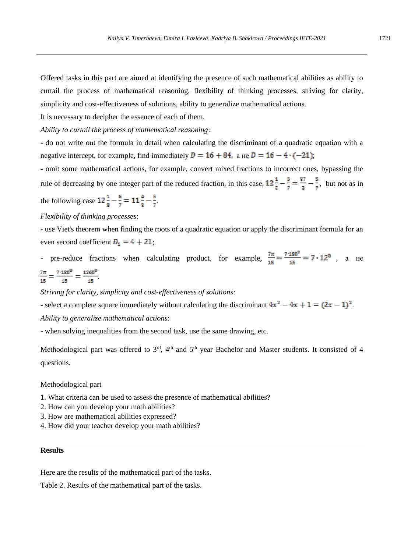Offered tasks in this part are aimed at identifying the presence of such mathematical abilities as ability to curtail the process of mathematical reasoning, flexibility of thinking processes, striving for clarity, simplicity and cost-effectiveness of solutions, ability to generalize mathematical actions.

It is necessary to decipher the essence of each of them.

*Ability to curtail the process of mathematical reasoning*:

- do not write out the formula in detail when calculating the discriminant of a quadratic equation with a negative intercept, for example, find immediately  $D = 16 + 84$ , a He  $D = 16 - 4 \cdot (-21)$ ;

- omit some mathematical actions, for example, convert mixed fractions to incorrect ones, bypassing the rule of decreasing by one integer part of the reduced fraction, in this case,  $12\frac{1}{2} - \frac{5}{7} = \frac{37}{2} - \frac{5}{7}$ , but not as in

the following case  $12\frac{1}{2} - \frac{5}{7} = 11\frac{4}{3} - \frac{5}{7}$ .

#### *Flexibility of thinking processes*:

- use Viet's theorem when finding the roots of a quadratic equation or apply the discriminant formula for an even second coefficient  $D_1 = 4 + 21$ ;

- pre-reduce fractions when calculating product, for example,  $\frac{7\pi}{15} = \frac{7 \cdot 180^{\circ}}{15} = 7 \cdot 12^{\circ}$ , a He  $\frac{7\pi}{15} = \frac{7 \cdot 180^0}{15} = \frac{1260^0}{15}.$ 

*Striving for clarity, simplicity and cost-effectiveness of solutions:*

- select a complete square immediately without calculating the discriminant  $4x^2 - 4x + 1 = (2x - 1)^2$ . *Ability to generalize mathematical actions*:

- when solving inequalities from the second task, use the same drawing, etc.

Methodological part was offered to  $3<sup>rd</sup>$ , 4<sup>th</sup> and  $5<sup>th</sup>$  year Bachelor and Master students. It consisted of 4 questions.

#### Methodological part

- 1. What criteria can be used to assess the presence of mathematical abilities?
- 2. How can you develop your math abilities?
- 3. How are mathematical abilities expressed?
- 4. How did your teacher develop your math abilities?

#### **Results**

Here are the results of the mathematical part of the tasks.

Table 2. Results of the mathematical part of the tasks.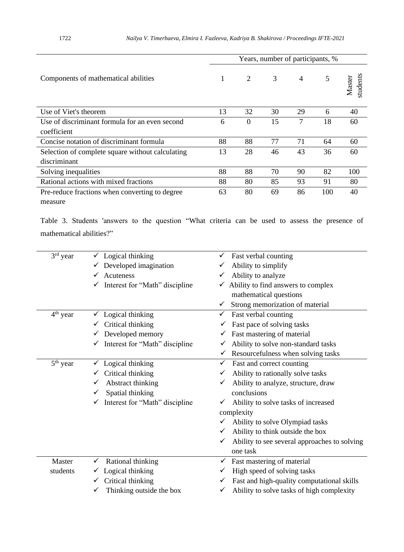|                                                  |    |          | Years, number of participants, % |                |     |                    |
|--------------------------------------------------|----|----------|----------------------------------|----------------|-----|--------------------|
| Components of mathematical abilities             | 1  | 2        | 3                                | $\overline{4}$ | 5   | students<br>Master |
| Use of Viet's theorem                            | 13 | 32       | 30                               | 29             | 6   | 40                 |
| Use of discriminant formula for an even second   | 6  | $\Omega$ | 15                               | 7              | 18  | 60                 |
| coefficient                                      |    |          |                                  |                |     |                    |
| Concise notation of discriminant formula         | 88 | 88       | 77                               | 71             | 64  | 60                 |
| Selection of complete square without calculating |    | 28       | 46                               | 43             | 36  | 60                 |
| discriminant                                     |    |          |                                  |                |     |                    |
| Solving inequalities                             | 88 | 88       | 70                               | 90             | 82  | 100                |
| Rational actions with mixed fractions            | 88 | 80       | 85                               | 93             | 91  | 80                 |
| Pre-reduce fractions when converting to degree   |    | 80       | 69                               | 86             | 100 | 40                 |
| measure                                          |    |          |                                  |                |     |                    |

Table 3. Students 'answers to the question "What criteria can be used to assess the presence of mathematical abilities?"

| 3rd year   | $\checkmark$ Logical thinking               | Fast verbal counting<br>✓                         |
|------------|---------------------------------------------|---------------------------------------------------|
|            | $\checkmark$ Developed imagination          | Ability to simplify                               |
|            | $\checkmark$ Acuteness                      | Ability to analyze                                |
|            | $\checkmark$ Interest for "Math" discipline | Ability to find answers to complex<br>✓           |
|            |                                             | mathematical questions                            |
|            |                                             | Strong memorization of material<br>✓              |
| $4th$ year | $\checkmark$ Logical thinking               | Fast verbal counting<br>✓                         |
|            | Critical thinking                           | Fast pace of solving tasks                        |
|            | $\checkmark$ Developed memory               | Fast mastering of material                        |
|            | $\checkmark$ Interest for "Math" discipline | Ability to solve non-standard tasks               |
|            |                                             | Resourcefulness when solving tasks                |
| $5th$ year | Logical thinking                            | Fast and correct counting<br>✓                    |
|            | Critical thinking                           | Ability to rationally solve tasks                 |
|            | Abstract thinking                           | Ability to analyze, structure, draw               |
|            | Spatial thinking                            | conclusions                                       |
|            | $\checkmark$ Interest for "Math" discipline | Ability to solve tasks of increased<br>✓          |
|            |                                             | complexity                                        |
|            |                                             | Ability to solve Olympiad tasks                   |
|            |                                             | Ability to think outside the box<br>✓             |
|            |                                             | Ability to see several approaches to solving<br>✓ |
|            |                                             | one task                                          |
| Master     | Rational thinking<br>$\checkmark$           | Fast mastering of material<br>✓                   |
| students   | $\checkmark$ Logical thinking               | High speed of solving tasks<br>✓                  |
|            | $\checkmark$ Critical thinking              | Fast and high-quality computational skills<br>✓   |
|            | Thinking outside the box                    | Ability to solve tasks of high complexity         |
|            |                                             |                                                   |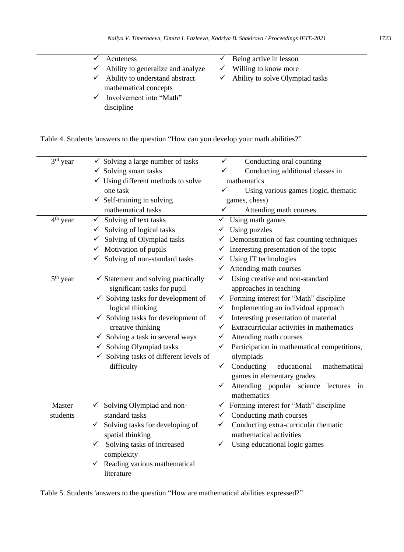- $\checkmark$  Ability to generalize and analyze ✓ Ability to understand abstract mathematical concepts
- $\checkmark$  Involvement into "Math" discipline
- $\checkmark$  Being active in lesson
- $\checkmark$  Willing to know more
- $\checkmark$  Ability to solve Olympiad tasks

Table 4. Students 'answers to the question "How can you develop your math abilities?"

| $3rd$ year | $\checkmark$ Solving a large number of tasks      | $\checkmark$<br>Conducting oral counting                  |
|------------|---------------------------------------------------|-----------------------------------------------------------|
|            | $\checkmark$ Solving smart tasks                  | Conducting additional classes in<br>✓                     |
|            | $\checkmark$ Using different methods to solve     | mathematics                                               |
|            | one task                                          | ✓<br>Using various games (logic, thematic                 |
|            | $\checkmark$ Self-training in solving             | games, chess)                                             |
|            | mathematical tasks                                | $\checkmark$<br>Attending math courses                    |
| $4th$ year | $\checkmark$<br>Solving of text tasks             | Using math games<br>✓                                     |
|            | Solving of logical tasks<br>$\checkmark$          | Using puzzles                                             |
|            | Solving of Olympiad tasks                         | Demonstration of fast counting techniques                 |
|            | $\checkmark$ Motivation of pupils                 | $\checkmark$ Interesting presentation of the topic        |
|            | Solving of non-standard tasks                     | $\checkmark$ Using IT technologies                        |
|            |                                                   | $\checkmark$ Attending math courses                       |
| $5th$ year | $\checkmark$ Statement and solving practically    | Using creative and non-standard<br>$\checkmark$           |
|            | significant tasks for pupil                       | approaches in teaching                                    |
|            | $\checkmark$ Solving tasks for development of     | Forming interest for "Math" discipline<br>✓               |
|            | logical thinking                                  | Implementing an individual approach<br>✓                  |
|            | $\checkmark$ Solving tasks for development of     | Interesting presentation of material<br>✓                 |
|            | creative thinking                                 | Extracurricular activities in mathematics<br>✓            |
|            | $\checkmark$ Solving a task in several ways       | Attending math courses<br>✓                               |
|            | $\checkmark$ Solving Olympiad tasks               | Participation in mathematical competitions,               |
|            | $\checkmark$ Solving tasks of different levels of | olympiads                                                 |
|            | difficulty                                        | Conducting<br>$\checkmark$<br>educational<br>mathematical |
|            |                                                   | games in elementary grades                                |
|            |                                                   | Attending popular science lectures<br>✓<br>in             |
|            |                                                   | mathematics                                               |
| Master     | Solving Olympiad and non-<br>✓                    | Forming interest for "Math" discipline<br>✓               |
| students   | standard tasks                                    | Conducting math courses                                   |
|            | Solving tasks for developing of<br>✓              | Conducting extra-curricular thematic<br>✓                 |
|            | spatial thinking                                  | mathematical activities                                   |
|            | Solving tasks of increased                        | Using educational logic games<br>✓                        |
|            | complexity                                        |                                                           |
|            | $\checkmark$ Reading various mathematical         |                                                           |
|            | literature                                        |                                                           |

Table 5. Students 'answers to the question "How are mathematical abilities expressed?"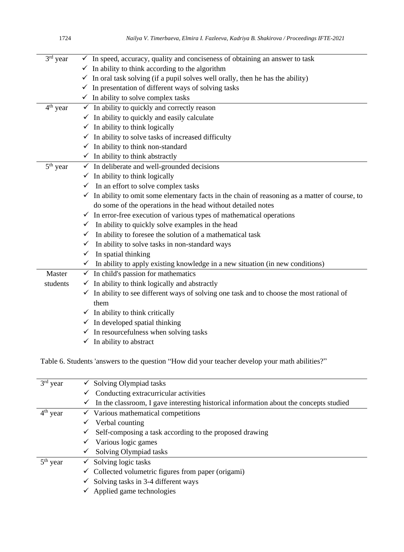| 3 <sup>rd</sup> year | $\checkmark$ In speed, accuracy, quality and conciseness of obtaining an answer to task                   |
|----------------------|-----------------------------------------------------------------------------------------------------------|
|                      | $\checkmark$ In ability to think according to the algorithm                                               |
|                      | $\checkmark$ In oral task solving (if a pupil solves well orally, then he has the ability)                |
|                      | $\checkmark$ In presentation of different ways of solving tasks                                           |
|                      | $\checkmark$ In ability to solve complex tasks                                                            |
| 4 <sup>th</sup> year | $\checkmark$ In ability to quickly and correctly reason                                                   |
|                      | $\checkmark$ In ability to quickly and easily calculate                                                   |
|                      | $\checkmark$ In ability to think logically                                                                |
|                      | $\checkmark$ In ability to solve tasks of increased difficulty                                            |
|                      | $\checkmark$ In ability to think non-standard                                                             |
|                      | $\checkmark$ In ability to think abstractly                                                               |
| $5th$ year           | $\checkmark$ In deliberate and well-grounded decisions                                                    |
|                      | $\checkmark$ In ability to think logically                                                                |
|                      | $\checkmark$ In an effort to solve complex tasks                                                          |
|                      | $\checkmark$ In ability to omit some elementary facts in the chain of reasoning as a matter of course, to |
|                      | do some of the operations in the head without detailed notes                                              |
|                      | $\checkmark$ In error-free execution of various types of mathematical operations                          |
|                      | $\checkmark$ In ability to quickly solve examples in the head                                             |
|                      | $\checkmark$ In ability to foresee the solution of a mathematical task                                    |
|                      | $\checkmark$ In ability to solve tasks in non-standard ways                                               |
|                      | $\checkmark$ In spatial thinking                                                                          |
|                      | $\checkmark$ In ability to apply existing knowledge in a new situation (in new conditions)                |
| Master               | $\checkmark$ In child's passion for mathematics                                                           |
| students             | $\checkmark$ In ability to think logically and abstractly                                                 |
|                      | $\checkmark$ In ability to see different ways of solving one task and to choose the most rational of      |
|                      | them                                                                                                      |
|                      | $\checkmark$ In ability to think critically                                                               |
|                      | $\checkmark$ In developed spatial thinking                                                                |
|                      | $\checkmark$ In resourcefulness when solving tasks                                                        |
|                      | $\checkmark$ In ability to abstract                                                                       |

Table 6. Students 'answers to the question "How did your teacher develop your math abilities?"

| $3rd$ year |              | Solving Olympiad tasks                                                                 |
|------------|--------------|----------------------------------------------------------------------------------------|
|            |              | Conducting extracurricular activities                                                  |
|            | ✓            | In the classroom, I gave interesting historical information about the concepts studied |
| $4th$ year |              | $\checkmark$ Various mathematical competitions                                         |
|            |              | Verbal counting                                                                        |
|            | ✓            | Self-composing a task according to the proposed drawing                                |
|            | $\checkmark$ | Various logic games                                                                    |
|            |              | Solving Olympiad tasks                                                                 |
| $5th$ year |              | $\checkmark$ Solving logic tasks                                                       |
|            |              | $\checkmark$ Collected volumetric figures from paper (origami)                         |
|            |              | $\checkmark$ Solving tasks in 3-4 different ways                                       |
|            |              | Applied game technologies                                                              |
|            |              |                                                                                        |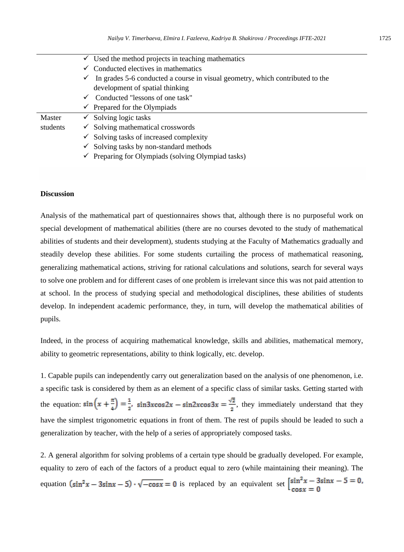|          | $\checkmark$ Used the method projects in teaching mathematics                              |
|----------|--------------------------------------------------------------------------------------------|
|          | $\checkmark$ Conducted electives in mathematics                                            |
|          | $\checkmark$ In grades 5-6 conducted a course in visual geometry, which contributed to the |
|          | development of spatial thinking                                                            |
|          | $\checkmark$ Conducted "lessons of one task"                                               |
|          | $\checkmark$ Prepared for the Olympiads                                                    |
| Master   | $\checkmark$ Solving logic tasks                                                           |
| students | $\checkmark$ Solving mathematical crosswords                                               |
|          | $\checkmark$ Solving tasks of increased complexity                                         |
|          | $\checkmark$ Solving tasks by non-standard methods                                         |
|          |                                                                                            |

 $\checkmark$  Preparing for Olympiads (solving Olympiad tasks)

#### **Discussion**

Analysis of the mathematical part of questionnaires shows that, although there is no purposeful work on special development of mathematical abilities (there are no courses devoted to the study of mathematical abilities of students and their development), students studying at the Faculty of Mathematics gradually and steadily develop these abilities. For some students curtailing the process of mathematical reasoning, generalizing mathematical actions, striving for rational calculations and solutions, search for several ways to solve one problem and for different cases of one problem is irrelevant since this was not paid attention to at school. In the process of studying special and methodological disciplines, these abilities of students develop. In independent academic performance, they, in turn, will develop the mathematical abilities of pupils.

Indeed, in the process of acquiring mathematical knowledge, skills and abilities, mathematical memory, ability to geometric representations, ability to think logically, etc. develop.

1. Capable pupils can independently carry out generalization based on the analysis of one phenomenon, i.e. a specific task is considered by them as an element of a specific class of similar tasks. Getting started with the equation:  $\sin\left(x + \frac{\pi}{4}\right) = \frac{1}{2}$ ,  $\sin 3x \cos 2x - \sin 2x \cos 3x = \frac{\sqrt{2}}{2}$ , they immediately understand that they have the simplest trigonometric equations in front of them. The rest of pupils should be leaded to such a generalization by teacher, with the help of a series of appropriately composed tasks.

2. A general algorithm for solving problems of a certain type should be gradually developed. For example, equality to zero of each of the factors of a product equal to zero (while maintaining their meaning). The equation  $(\sin^2 x - 3\sin x - 5) \cdot \sqrt{-\cos x} = 0$  is replaced by an equivalent set  $\begin{cases} \sin^2 x - 3\sin x - 5 = 0, \\ \cos x = 0 \end{cases}$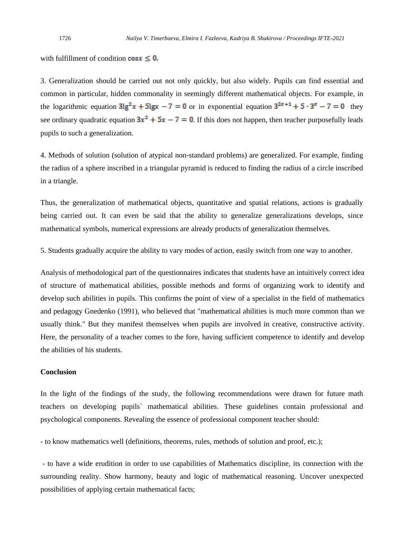with fulfillment of condition  $\cos x \leq 0$ .

3. Generalization should be carried out not only quickly, but also widely. Pupils can find essential and common in particular, hidden commonality in seemingly different mathematical objects. For example, in the logarithmic equation  $3lg^2 x + 5lgx - 7 = 0$  or in exponential equation  $3^{2x+1} + 5 \cdot 3^x - 7 = 0$  they see ordinary quadratic equation  $3x^2 + 5x - 7 = 0$ . If this does not happen, then teacher purposefully leads pupils to such a generalization.

4. Methods of solution (solution of atypical non-standard problems) are generalized. For example, finding the radius of a sphere inscribed in a triangular pyramid is reduced to finding the radius of a circle inscribed in a triangle.

Thus, the generalization of mathematical objects, quantitative and spatial relations, actions is gradually being carried out. It can even be said that the ability to generalize generalizations develops, since mathematical symbols, numerical expressions are already products of generalization themselves.

5. Students gradually acquire the ability to vary modes of action, easily switch from one way to another.

Analysis of methodological part of the questionnaires indicates that students have an intuitively correct idea of structure of mathematical abilities, possible methods and forms of organizing work to identify and develop such abilities in pupils. This confirms the point of view of a specialist in the field of mathematics and pedagogy Gnedenko (1991), who believed that "mathematical abilities is much more common than we usually think." But they manifest themselves when pupils are involved in creative, constructive activity. Here, the personality of a teacher comes to the fore, having sufficient competence to identify and develop the abilities of his students.

### **Conclusion**

In the light of the findings of the study, the following recommendations were drawn for future math teachers on developing pupils` mathematical abilities. These guidelines contain professional and psychological components. Revealing the essence of professional component teacher should:

- to know mathematics well (definitions, theorems, rules, methods of solution and proof, etc.);

- to have a wide erudition in order to use capabilities of Mathematics discipline, its connection with the surrounding reality. Show harmony, beauty and logic of mathematical reasoning. Uncover unexpected possibilities of applying certain mathematical facts;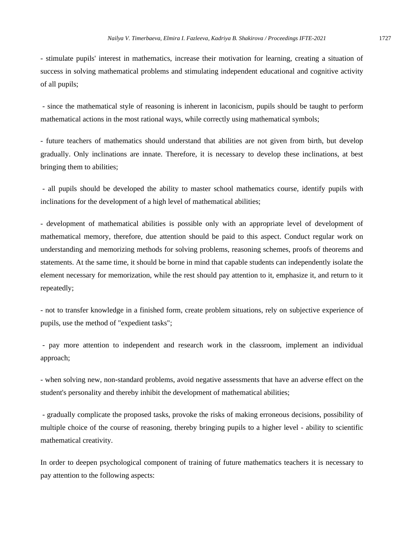- stimulate pupils' interest in mathematics, increase their motivation for learning, creating a situation of success in solving mathematical problems and stimulating independent educational and cognitive activity of all pupils;

- since the mathematical style of reasoning is inherent in laconicism, pupils should be taught to perform mathematical actions in the most rational ways, while correctly using mathematical symbols;

- future teachers of mathematics should understand that abilities are not given from birth, but develop gradually. Only inclinations are innate. Therefore, it is necessary to develop these inclinations, at best bringing them to abilities;

- all pupils should be developed the ability to master school mathematics course, identify pupils with inclinations for the development of a high level of mathematical abilities;

- development of mathematical abilities is possible only with an appropriate level of development of mathematical memory, therefore, due attention should be paid to this aspect. Conduct regular work on understanding and memorizing methods for solving problems, reasoning schemes, proofs of theorems and statements. At the same time, it should be borne in mind that capable students can independently isolate the element necessary for memorization, while the rest should pay attention to it, emphasize it, and return to it repeatedly;

- not to transfer knowledge in a finished form, create problem situations, rely on subjective experience of pupils, use the method of "expedient tasks";

- pay more attention to independent and research work in the classroom, implement an individual approach;

- when solving new, non-standard problems, avoid negative assessments that have an adverse effect on the student's personality and thereby inhibit the development of mathematical abilities;

- gradually complicate the proposed tasks, provoke the risks of making erroneous decisions, possibility of multiple choice of the course of reasoning, thereby bringing pupils to a higher level - ability to scientific mathematical creativity.

In order to deepen psychological component of training of future mathematics teachers it is necessary to pay attention to the following aspects: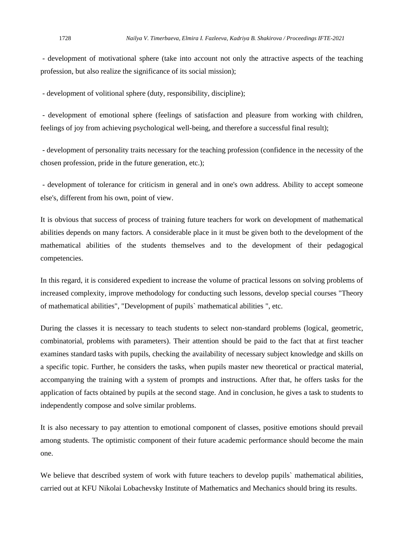- development of motivational sphere (take into account not only the attractive aspects of the teaching profession, but also realize the significance of its social mission);

- development of volitional sphere (duty, responsibility, discipline);

- development of emotional sphere (feelings of satisfaction and pleasure from working with children, feelings of joy from achieving psychological well-being, and therefore a successful final result);

- development of personality traits necessary for the teaching profession (confidence in the necessity of the chosen profession, pride in the future generation, etc.);

- development of tolerance for criticism in general and in one's own address. Ability to accept someone else's, different from his own, point of view.

It is obvious that success of process of training future teachers for work on development of mathematical abilities depends on many factors. A considerable place in it must be given both to the development of the mathematical abilities of the students themselves and to the development of their pedagogical competencies.

In this regard, it is considered expedient to increase the volume of practical lessons on solving problems of increased complexity, improve methodology for conducting such lessons, develop special courses "Theory of mathematical abilities", "Development of pupils` mathematical abilities ", etc.

During the classes it is necessary to teach students to select non-standard problems (logical, geometric, combinatorial, problems with parameters). Their attention should be paid to the fact that at first teacher examines standard tasks with pupils, checking the availability of necessary subject knowledge and skills on a specific topic. Further, he considers the tasks, when pupils master new theoretical or practical material, accompanying the training with a system of prompts and instructions. After that, he offers tasks for the application of facts obtained by pupils at the second stage. And in conclusion, he gives a task to students to independently compose and solve similar problems.

It is also necessary to pay attention to emotional component of classes, positive emotions should prevail among students. The optimistic component of their future academic performance should become the main one.

We believe that described system of work with future teachers to develop pupils` mathematical abilities, carried out at KFU Nikolai Lobachevsky Institute of Mathematics and Mechanics should bring its results.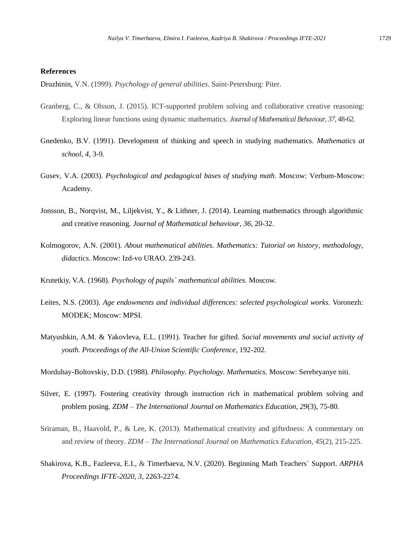#### **References**

Druzhinin, V.N. (1999). *Psychology of general abilities.* Saint-Petersburg: Piter.

- Granberg, C., & Olsson, J. (2015). ICT-supported problem solving and collaborative creative reasoning: Exploring linear functions using dynamic mathematics. *Journal of Mathematical Behaviour, 37,* 48-62.
- Gnedenko, B.V. (1991). Development of thinking and speech in studying mathematics. *Mathematics at school, 4*, 3-9.
- Gusev, V.A. (2003). *Psychological and pedagogical bases of studying math.* Moscow: Verbum-Moscow: Academy.
- Jonsson, B., Norqvist, M., Liljekvist, Y., & Lithner, J. (2014). Learning mathematics through algorithmic and creative reasoning. *Journal of Mathematical behaviour, 36,* 20-32.
- Kolmogorov, A.N. (2001). *About mathematical abilities. Mathematics: Tutorial on history, methodology, didactics.* Moscow: Izd-vo URAO. 239-243.
- Krutetkiy, V.A. (1968). *Psychology of pupils` mathematical abilities.* Moscow.
- Leites, N.S. (2003). *Age endowments and individual differences: selected psychological works.* Voronezh: MODEK; Moscow: MPSI.
- Matyushkin, A.M. & Yakovleva, E.L. (1991). Teacher for gifted. *Social movements and social activity of youth. Proceedings of the All-Union Scientific Conference,* 192-202.

Morduhay-Boltovskiy, D.D. (1988). *Philosophy. Psychology. Mathematics.* Moscow: Serebryanye niti.

- Silver, E. (1997). Fostering creativity through instruction rich in mathematical problem solving and problem posing. *ZDM – The International Journal on Mathematics Education, 29*(3), 75-80.
- Sriraman, B., Haavold, P., & Lee, K. (2013). Mathematical creativity and giftedness: A commentary on and review of theory. *ZDM – The International Journal on Mathematics Education, 45*(2), 215-225.
- Shakirova, K.B., Fazleeva, E.I., & Timerbaeva, N.V. (2020). Beginning Math Teachers` Support. *ARPHA Proceedings IFTE-2020, 3,* 2263-2274.